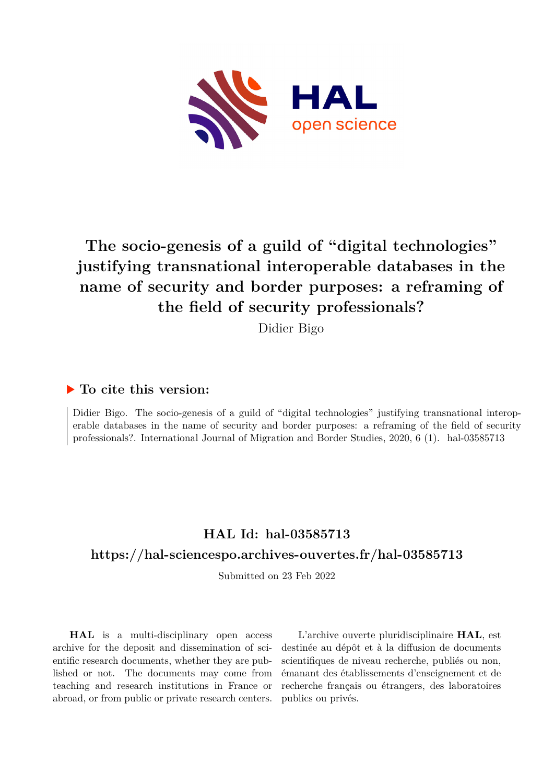

# **The socio-genesis of a guild of "digital technologies" justifying transnational interoperable databases in the name of security and border purposes: a reframing of the field of security professionals?**

Didier Bigo

### **To cite this version:**

Didier Bigo. The socio-genesis of a guild of "digital technologies" justifying transnational interoperable databases in the name of security and border purposes: a reframing of the field of security professionals?. International Journal of Migration and Border Studies, 2020, 6 (1). hal-03585713

### **HAL Id: hal-03585713**

### **<https://hal-sciencespo.archives-ouvertes.fr/hal-03585713>**

Submitted on 23 Feb 2022

**HAL** is a multi-disciplinary open access archive for the deposit and dissemination of scientific research documents, whether they are published or not. The documents may come from teaching and research institutions in France or abroad, or from public or private research centers.

L'archive ouverte pluridisciplinaire **HAL**, est destinée au dépôt et à la diffusion de documents scientifiques de niveau recherche, publiés ou non, émanant des établissements d'enseignement et de recherche français ou étrangers, des laboratoires publics ou privés.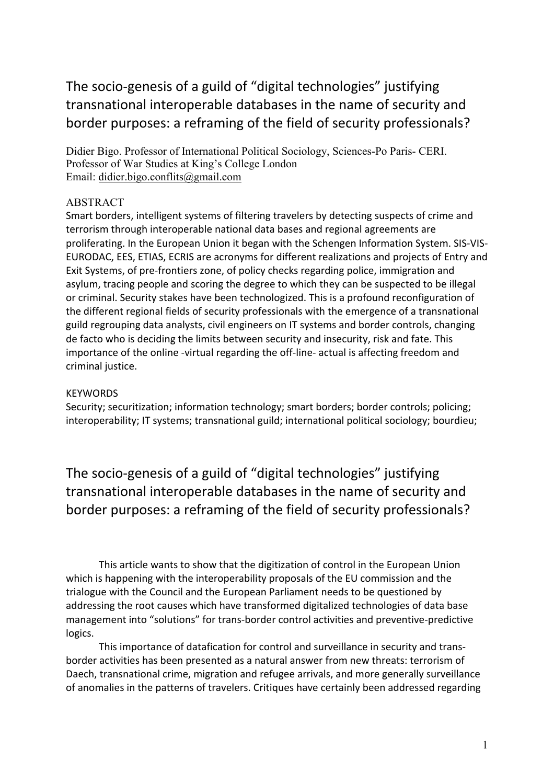## The socio-genesis of a guild of "digital technologies" justifying transnational interoperable databases in the name of security and border purposes: a reframing of the field of security professionals?

Didier Bigo. Professor of International Political Sociology, Sciences-Po Paris- CERI. Professor of War Studies at King's College London Email: didier.bigo.conflits@gmail.com

#### ABSTRACT

Smart borders, intelligent systems of filtering travelers by detecting suspects of crime and terrorism through interoperable national data bases and regional agreements are proliferating. In the European Union it began with the Schengen Information System. SIS-VIS-EURODAC, EES, ETIAS, ECRIS are acronyms for different realizations and projects of Entry and Exit Systems, of pre-frontiers zone, of policy checks regarding police, immigration and asylum, tracing people and scoring the degree to which they can be suspected to be illegal or criminal. Security stakes have been technologized. This is a profound reconfiguration of the different regional fields of security professionals with the emergence of a transnational guild regrouping data analysts, civil engineers on IT systems and border controls, changing de facto who is deciding the limits between security and insecurity, risk and fate. This importance of the online -virtual regarding the off-line- actual is affecting freedom and criminal justice.

#### **KEYWORDS**

Security; securitization; information technology; smart borders; border controls; policing; interoperability; IT systems; transnational guild; international political sociology; bourdieu;

The socio-genesis of a guild of "digital technologies" justifying transnational interoperable databases in the name of security and border purposes: a reframing of the field of security professionals?

This article wants to show that the digitization of control in the European Union which is happening with the interoperability proposals of the EU commission and the trialogue with the Council and the European Parliament needs to be questioned by addressing the root causes which have transformed digitalized technologies of data base management into "solutions" for trans-border control activities and preventive-predictive logics.

This importance of datafication for control and surveillance in security and transborder activities has been presented as a natural answer from new threats: terrorism of Daech, transnational crime, migration and refugee arrivals, and more generally surveillance of anomalies in the patterns of travelers. Critiques have certainly been addressed regarding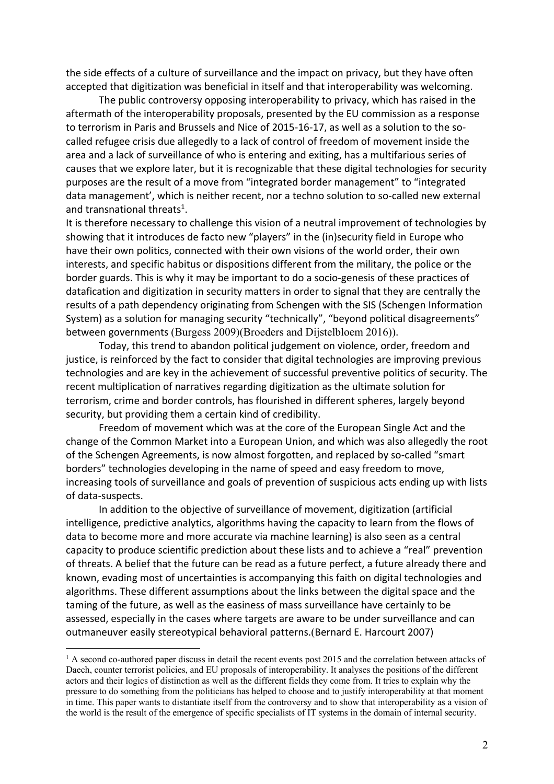the side effects of a culture of surveillance and the impact on privacy, but they have often accepted that digitization was beneficial in itself and that interoperability was welcoming.

The public controversy opposing interoperability to privacy, which has raised in the aftermath of the interoperability proposals, presented by the EU commission as a response to terrorism in Paris and Brussels and Nice of 2015-16-17, as well as a solution to the socalled refugee crisis due allegedly to a lack of control of freedom of movement inside the area and a lack of surveillance of who is entering and exiting, has a multifarious series of causes that we explore later, but it is recognizable that these digital technologies for security purposes are the result of a move from "integrated border management" to "integrated data management', which is neither recent, nor a techno solution to so-called new external and transnational threats<sup>1</sup>.

It is therefore necessary to challenge this vision of a neutral improvement of technologies by showing that it introduces de facto new "players" in the (in)security field in Europe who have their own politics, connected with their own visions of the world order, their own interests, and specific habitus or dispositions different from the military, the police or the border guards. This is why it may be important to do a socio-genesis of these practices of datafication and digitization in security matters in order to signal that they are centrally the results of a path dependency originating from Schengen with the SIS (Schengen Information System) as a solution for managing security "technically", "beyond political disagreements" between governments (Burgess 2009)(Broeders and Dijstelbloem 2016)).

Today, this trend to abandon political judgement on violence, order, freedom and justice, is reinforced by the fact to consider that digital technologies are improving previous technologies and are key in the achievement of successful preventive politics of security. The recent multiplication of narratives regarding digitization as the ultimate solution for terrorism, crime and border controls, has flourished in different spheres, largely beyond security, but providing them a certain kind of credibility.

Freedom of movement which was at the core of the European Single Act and the change of the Common Market into a European Union, and which was also allegedly the root of the Schengen Agreements, is now almost forgotten, and replaced by so-called "smart borders" technologies developing in the name of speed and easy freedom to move, increasing tools of surveillance and goals of prevention of suspicious acts ending up with lists of data-suspects.

In addition to the objective of surveillance of movement, digitization (artificial intelligence, predictive analytics, algorithms having the capacity to learn from the flows of data to become more and more accurate via machine learning) is also seen as a central capacity to produce scientific prediction about these lists and to achieve a "real" prevention of threats. A belief that the future can be read as a future perfect, a future already there and known, evading most of uncertainties is accompanying this faith on digital technologies and algorithms. These different assumptions about the links between the digital space and the taming of the future, as well as the easiness of mass surveillance have certainly to be assessed, especially in the cases where targets are aware to be under surveillance and can outmaneuver easily stereotypical behavioral patterns.(Bernard E. Harcourt 2007)

 $<sup>1</sup>$  A second co-authored paper discuss in detail the recent events post 2015 and the correlation between attacks of</sup> Daech, counter terrorist policies, and EU proposals of interoperability. It analyses the positions of the different actors and their logics of distinction as well as the different fields they come from. It tries to explain why the pressure to do something from the politicians has helped to choose and to justify interoperability at that moment in time. This paper wants to distantiate itself from the controversy and to show that interoperability as a vision of the world is the result of the emergence of specific specialists of IT systems in the domain of internal security.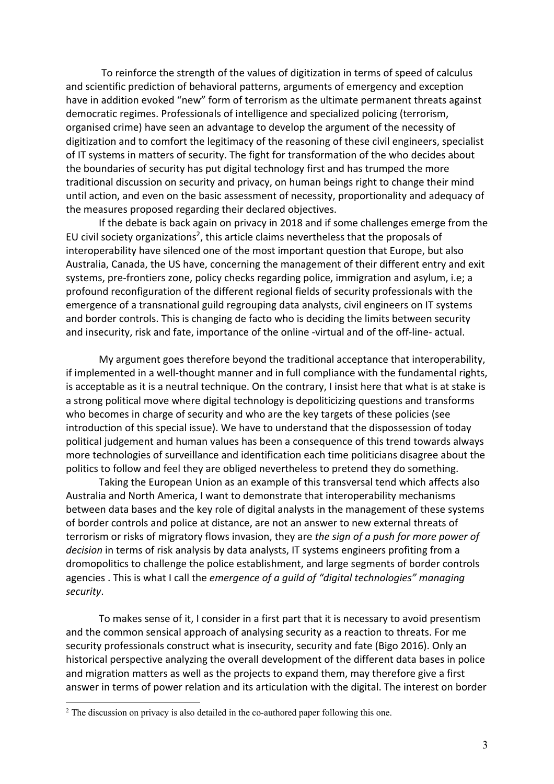To reinforce the strength of the values of digitization in terms of speed of calculus and scientific prediction of behavioral patterns, arguments of emergency and exception have in addition evoked "new" form of terrorism as the ultimate permanent threats against democratic regimes. Professionals of intelligence and specialized policing (terrorism, organised crime) have seen an advantage to develop the argument of the necessity of digitization and to comfort the legitimacy of the reasoning of these civil engineers, specialist of IT systems in matters of security. The fight for transformation of the who decides about the boundaries of security has put digital technology first and has trumped the more traditional discussion on security and privacy, on human beings right to change their mind until action, and even on the basic assessment of necessity, proportionality and adequacy of the measures proposed regarding their declared objectives.

If the debate is back again on privacy in 2018 and if some challenges emerge from the EU civil society organizations<sup>2</sup>, this article claims nevertheless that the proposals of interoperability have silenced one of the most important question that Europe, but also Australia, Canada, the US have, concerning the management of their different entry and exit systems, pre-frontiers zone, policy checks regarding police, immigration and asylum, i.e; a profound reconfiguration of the different regional fields of security professionals with the emergence of a transnational guild regrouping data analysts, civil engineers on IT systems and border controls. This is changing de facto who is deciding the limits between security and insecurity, risk and fate, importance of the online -virtual and of the off-line- actual.

My argument goes therefore beyond the traditional acceptance that interoperability, if implemented in a well-thought manner and in full compliance with the fundamental rights, is acceptable as it is a neutral technique. On the contrary, I insist here that what is at stake is a strong political move where digital technology is depoliticizing questions and transforms who becomes in charge of security and who are the key targets of these policies (see introduction of this special issue). We have to understand that the dispossession of today political judgement and human values has been a consequence of this trend towards always more technologies of surveillance and identification each time politicians disagree about the politics to follow and feel they are obliged nevertheless to pretend they do something.

Taking the European Union as an example of this transversal tend which affects also Australia and North America, I want to demonstrate that interoperability mechanisms between data bases and the key role of digital analysts in the management of these systems of border controls and police at distance, are not an answer to new external threats of terrorism or risks of migratory flows invasion, they are *the sign of a push for more power of decision* in terms of risk analysis by data analysts, IT systems engineers profiting from a dromopolitics to challenge the police establishment, and large segments of border controls agencies . This is what I call the *emergence of a guild of "digital technologies" managing security*.

To makes sense of it, I consider in a first part that it is necessary to avoid presentism and the common sensical approach of analysing security as a reaction to threats. For me security professionals construct what is insecurity, security and fate (Bigo 2016). Only an historical perspective analyzing the overall development of the different data bases in police and migration matters as well as the projects to expand them, may therefore give a first answer in terms of power relation and its articulation with the digital. The interest on border

<sup>&</sup>lt;sup>2</sup> The discussion on privacy is also detailed in the co-authored paper following this one.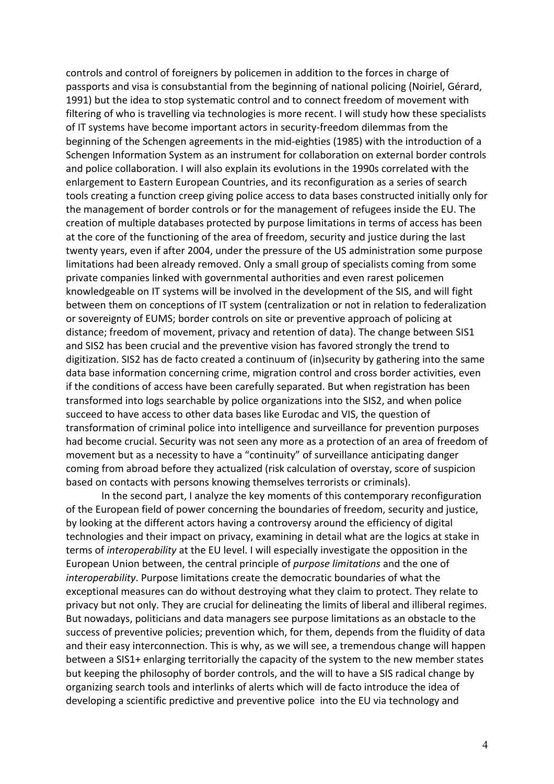controls and control of foreigners by policemen in addition to the forces in charge of passports and visa is consubstantial from the beginning of national policing (Noiriel, Gérard, 1991) but the idea to stop systematic control and to connect freedom of movement with filtering of who is travelling via technologies is more recent. I will study how these specialists of IT systems have become important actors in security-freedom dilemmas from the beginning of the Schengen agreements in the mid-eighties (1985) with the introduction of a Schengen Information System as an instrument for collaboration on external border controls and police collaboration. I will also explain its evolutions in the 1990s correlated with the enlargement to Eastern European Countries, and its reconfiguration as a series of search tools creating a function creep giving police access to data bases constructed initially only for the management of border controls or for the management of refugees inside the EU. The creation of multiple databases protected by purpose limitations in terms of access has been at the core of the functioning of the area of freedom, security and justice during the last twenty years, even if after 2004, under the pressure of the US administration some purpose limitations had been already removed. Only a small group of specialists coming from some private companies linked with governmental authorities and even rarest policemen knowledgeable on IT systems will be involved in the development of the SIS, and will fight between them on conceptions of IT system (centralization or not in relation to federalization or sovereignty of EUMS; border controls on site or preventive approach of policing at distance; freedom of movement, privacy and retention of data). The change between SIS1 and SIS2 has been crucial and the preventive vision has favored strongly the trend to digitization. SIS2 has de facto created a continuum of (in)security by gathering into the same data base information concerning crime, migration control and cross border activities, even if the conditions of access have been carefully separated. But when registration has been transformed into logs searchable by police organizations into the SIS2, and when police succeed to have access to other data bases like Eurodac and VIS, the question of transformation of criminal police into intelligence and surveillance for prevention purposes had become crucial. Security was not seen any more as a protection of an area of freedom of movement but as a necessity to have a "continuity" of surveillance anticipating danger coming from abroad before they actualized (risk calculation of overstay, score of suspicion based on contacts with persons knowing themselves terrorists or criminals).

In the second part, I analyze the key moments of this contemporary reconfiguration of the European field of power concerning the boundaries of freedom, security and justice, by looking at the different actors having a controversy around the efficiency of digital technologies and their impact on privacy, examining in detail what are the logics at stake in terms of *interoperability* at the EU level. I will especially investigate the opposition in the European Union between, the central principle of *purpose limitations* and the one of *interoperability*. Purpose limitations create the democratic boundaries of what the exceptional measures can do without destroying what they claim to protect. They relate to privacy but not only. They are crucial for delineating the limits of liberal and illiberal regimes. But nowadays, politicians and data managers see purpose limitations as an obstacle to the success of preventive policies; prevention which, for them, depends from the fluidity of data and their easy interconnection. This is why, as we will see, a tremendous change will happen between a SIS1+ enlarging territorially the capacity of the system to the new member states but keeping the philosophy of border controls, and the will to have a SIS radical change by organizing search tools and interlinks of alerts which will de facto introduce the idea of developing a scientific predictive and preventive police into the EU via technology and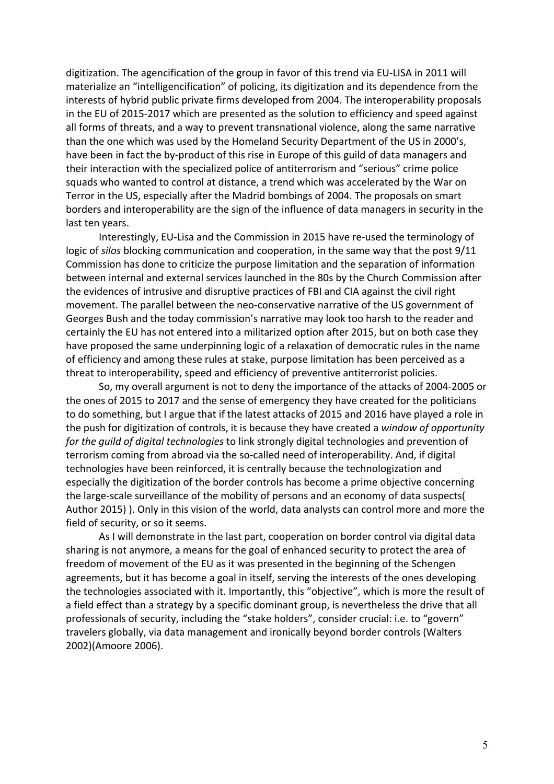digitization. The agencification of the group in favor of this trend via EU-LISA in 2011 will materialize an "intelligencification" of policing, its digitization and its dependence from the interests of hybrid public private firms developed from 2004. The interoperability proposals in the EU of 2015-2017 which are presented as the solution to efficiency and speed against all forms of threats, and a way to prevent transnational violence, along the same narrative than the one which was used by the Homeland Security Department of the US in 2000's, have been in fact the by-product of this rise in Europe of this guild of data managers and their interaction with the specialized police of antiterrorism and "serious" crime police squads who wanted to control at distance, a trend which was accelerated by the War on Terror in the US, especially after the Madrid bombings of 2004. The proposals on smart borders and interoperability are the sign of the influence of data managers in security in the last ten years.

Interestingly, EU-Lisa and the Commission in 2015 have re-used the terminology of logic of *silos* blocking communication and cooperation, in the same way that the post 9/11 Commission has done to criticize the purpose limitation and the separation of information between internal and external services launched in the 80s by the Church Commission after the evidences of intrusive and disruptive practices of FBI and CIA against the civil right movement. The parallel between the neo-conservative narrative of the US government of Georges Bush and the today commission's narrative may look too harsh to the reader and certainly the EU has not entered into a militarized option after 2015, but on both case they have proposed the same underpinning logic of a relaxation of democratic rules in the name of efficiency and among these rules at stake, purpose limitation has been perceived as a threat to interoperability, speed and efficiency of preventive antiterrorist policies.

So, my overall argument is not to deny the importance of the attacks of 2004-2005 or the ones of 2015 to 2017 and the sense of emergency they have created for the politicians to do something, but I argue that if the latest attacks of 2015 and 2016 have played a role in the push for digitization of controls, it is because they have created a *window of opportunity for the guild of digital technologies* to link strongly digital technologies and prevention of terrorism coming from abroad via the so-called need of interoperability. And, if digital technologies have been reinforced, it is centrally because the technologization and especially the digitization of the border controls has become a prime objective concerning the large-scale surveillance of the mobility of persons and an economy of data suspects( Author 2015) ). Only in this vision of the world, data analysts can control more and more the field of security, or so it seems.

As I will demonstrate in the last part, cooperation on border control via digital data sharing is not anymore, a means for the goal of enhanced security to protect the area of freedom of movement of the EU as it was presented in the beginning of the Schengen agreements, but it has become a goal in itself, serving the interests of the ones developing the technologies associated with it. Importantly, this "objective", which is more the result of a field effect than a strategy by a specific dominant group, is nevertheless the drive that all professionals of security, including the "stake holders", consider crucial: i.e. to "govern" travelers globally, via data management and ironically beyond border controls (Walters 2002)(Amoore 2006).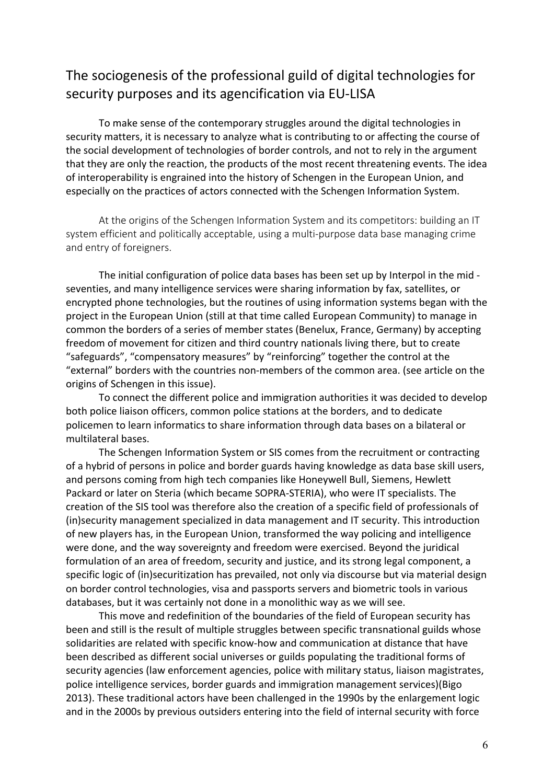## The sociogenesis of the professional guild of digital technologies for security purposes and its agencification via EU-LISA

To make sense of the contemporary struggles around the digital technologies in security matters, it is necessary to analyze what is contributing to or affecting the course of the social development of technologies of border controls, and not to rely in the argument that they are only the reaction, the products of the most recent threatening events. The idea of interoperability is engrained into the history of Schengen in the European Union, and especially on the practices of actors connected with the Schengen Information System.

At the origins of the Schengen Information System and its competitors: building an IT system efficient and politically acceptable, using a multi-purpose data base managing crime and entry of foreigners.

The initial configuration of police data bases has been set up by Interpol in the mid seventies, and many intelligence services were sharing information by fax, satellites, or encrypted phone technologies, but the routines of using information systems began with the project in the European Union (still at that time called European Community) to manage in common the borders of a series of member states (Benelux, France, Germany) by accepting freedom of movement for citizen and third country nationals living there, but to create "safeguards", "compensatory measures" by "reinforcing" together the control at the "external" borders with the countries non-members of the common area. (see article on the origins of Schengen in this issue).

To connect the different police and immigration authorities it was decided to develop both police liaison officers, common police stations at the borders, and to dedicate policemen to learn informatics to share information through data bases on a bilateral or multilateral bases.

The Schengen Information System or SIS comes from the recruitment or contracting of a hybrid of persons in police and border guards having knowledge as data base skill users, and persons coming from high tech companies like Honeywell Bull, Siemens, Hewlett Packard or later on Steria (which became SOPRA-STERIA), who were IT specialists. The creation of the SIS tool was therefore also the creation of a specific field of professionals of (in)security management specialized in data management and IT security. This introduction of new players has, in the European Union, transformed the way policing and intelligence were done, and the way sovereignty and freedom were exercised. Beyond the juridical formulation of an area of freedom, security and justice, and its strong legal component, a specific logic of (in)securitization has prevailed, not only via discourse but via material design on border control technologies, visa and passports servers and biometric tools in various databases, but it was certainly not done in a monolithic way as we will see.

This move and redefinition of the boundaries of the field of European security has been and still is the result of multiple struggles between specific transnational guilds whose solidarities are related with specific know-how and communication at distance that have been described as different social universes or guilds populating the traditional forms of security agencies (law enforcement agencies, police with military status, liaison magistrates, police intelligence services, border guards and immigration management services)(Bigo 2013). These traditional actors have been challenged in the 1990s by the enlargement logic and in the 2000s by previous outsiders entering into the field of internal security with force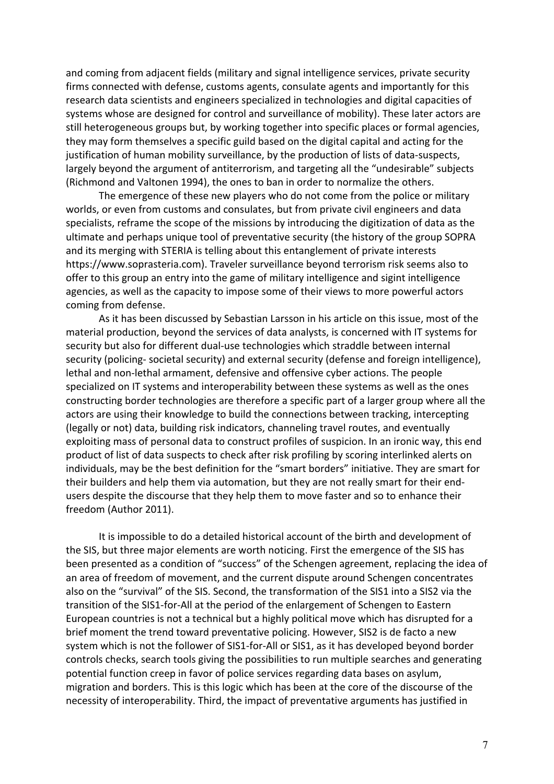and coming from adjacent fields (military and signal intelligence services, private security firms connected with defense, customs agents, consulate agents and importantly for this research data scientists and engineers specialized in technologies and digital capacities of systems whose are designed for control and surveillance of mobility). These later actors are still heterogeneous groups but, by working together into specific places or formal agencies, they may form themselves a specific guild based on the digital capital and acting for the justification of human mobility surveillance, by the production of lists of data-suspects, largely beyond the argument of antiterrorism, and targeting all the "undesirable" subjects (Richmond and Valtonen 1994), the ones to ban in order to normalize the others.

The emergence of these new players who do not come from the police or military worlds, or even from customs and consulates, but from private civil engineers and data specialists, reframe the scope of the missions by introducing the digitization of data as the ultimate and perhaps unique tool of preventative security (the history of the group SOPRA and its merging with STERIA is telling about this entanglement of private interests https://www.soprasteria.com). Traveler surveillance beyond terrorism risk seems also to offer to this group an entry into the game of military intelligence and sigint intelligence agencies, as well as the capacity to impose some of their views to more powerful actors coming from defense.

As it has been discussed by Sebastian Larsson in his article on this issue, most of the material production, beyond the services of data analysts, is concerned with IT systems for security but also for different dual-use technologies which straddle between internal security (policing- societal security) and external security (defense and foreign intelligence), lethal and non-lethal armament, defensive and offensive cyber actions. The people specialized on IT systems and interoperability between these systems as well as the ones constructing border technologies are therefore a specific part of a larger group where all the actors are using their knowledge to build the connections between tracking, intercepting (legally or not) data, building risk indicators, channeling travel routes, and eventually exploiting mass of personal data to construct profiles of suspicion. In an ironic way, this end product of list of data suspects to check after risk profiling by scoring interlinked alerts on individuals, may be the best definition for the "smart borders" initiative. They are smart for their builders and help them via automation, but they are not really smart for their endusers despite the discourse that they help them to move faster and so to enhance their freedom (Author 2011).

It is impossible to do a detailed historical account of the birth and development of the SIS, but three major elements are worth noticing. First the emergence of the SIS has been presented as a condition of "success" of the Schengen agreement, replacing the idea of an area of freedom of movement, and the current dispute around Schengen concentrates also on the "survival" of the SIS. Second, the transformation of the SIS1 into a SIS2 via the transition of the SIS1-for-All at the period of the enlargement of Schengen to Eastern European countries is not a technical but a highly political move which has disrupted for a brief moment the trend toward preventative policing. However, SIS2 is de facto a new system which is not the follower of SIS1-for-All or SIS1, as it has developed beyond border controls checks, search tools giving the possibilities to run multiple searches and generating potential function creep in favor of police services regarding data bases on asylum, migration and borders. This is this logic which has been at the core of the discourse of the necessity of interoperability. Third, the impact of preventative arguments has justified in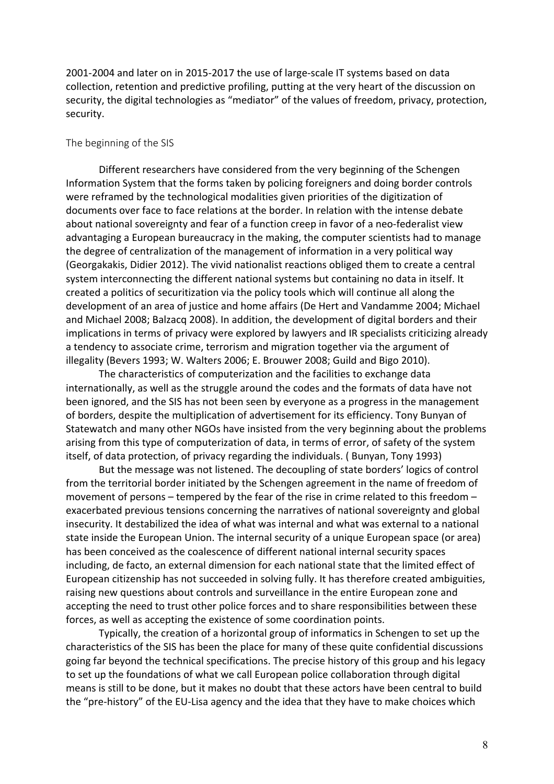2001-2004 and later on in 2015-2017 the use of large-scale IT systems based on data collection, retention and predictive profiling, putting at the very heart of the discussion on security, the digital technologies as "mediator" of the values of freedom, privacy, protection, security.

#### The beginning of the SIS

Different researchers have considered from the very beginning of the Schengen Information System that the forms taken by policing foreigners and doing border controls were reframed by the technological modalities given priorities of the digitization of documents over face to face relations at the border. In relation with the intense debate about national sovereignty and fear of a function creep in favor of a neo-federalist view advantaging a European bureaucracy in the making, the computer scientists had to manage the degree of centralization of the management of information in a very political way (Georgakakis, Didier 2012). The vivid nationalist reactions obliged them to create a central system interconnecting the different national systems but containing no data in itself. It created a politics of securitization via the policy tools which will continue all along the development of an area of justice and home affairs (De Hert and Vandamme 2004; Michael and Michael 2008; Balzacq 2008). In addition, the development of digital borders and their implications in terms of privacy were explored by lawyers and IR specialists criticizing already a tendency to associate crime, terrorism and migration together via the argument of illegality (Bevers 1993; W. Walters 2006; E. Brouwer 2008; Guild and Bigo 2010).

The characteristics of computerization and the facilities to exchange data internationally, as well as the struggle around the codes and the formats of data have not been ignored, and the SIS has not been seen by everyone as a progress in the management of borders, despite the multiplication of advertisement for its efficiency. Tony Bunyan of Statewatch and many other NGOs have insisted from the very beginning about the problems arising from this type of computerization of data, in terms of error, of safety of the system itself, of data protection, of privacy regarding the individuals. ( Bunyan, Tony 1993)

But the message was not listened. The decoupling of state borders' logics of control from the territorial border initiated by the Schengen agreement in the name of freedom of movement of persons – tempered by the fear of the rise in crime related to this freedom – exacerbated previous tensions concerning the narratives of national sovereignty and global insecurity. It destabilized the idea of what was internal and what was external to a national state inside the European Union. The internal security of a unique European space (or area) has been conceived as the coalescence of different national internal security spaces including, de facto, an external dimension for each national state that the limited effect of European citizenship has not succeeded in solving fully. It has therefore created ambiguities, raising new questions about controls and surveillance in the entire European zone and accepting the need to trust other police forces and to share responsibilities between these forces, as well as accepting the existence of some coordination points.

Typically, the creation of a horizontal group of informatics in Schengen to set up the characteristics of the SIS has been the place for many of these quite confidential discussions going far beyond the technical specifications. The precise history of this group and his legacy to set up the foundations of what we call European police collaboration through digital means is still to be done, but it makes no doubt that these actors have been central to build the "pre-history" of the EU-Lisa agency and the idea that they have to make choices which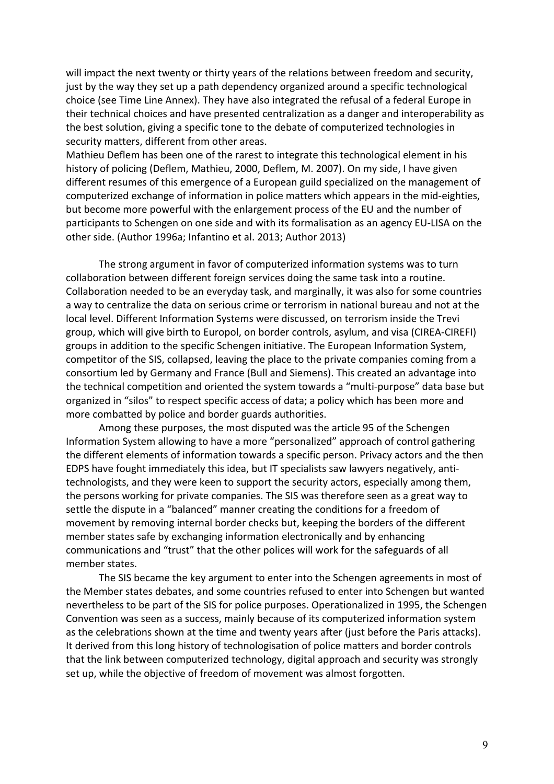will impact the next twenty or thirty years of the relations between freedom and security, just by the way they set up a path dependency organized around a specific technological choice (see Time Line Annex). They have also integrated the refusal of a federal Europe in their technical choices and have presented centralization as a danger and interoperability as the best solution, giving a specific tone to the debate of computerized technologies in security matters, different from other areas.

Mathieu Deflem has been one of the rarest to integrate this technological element in his history of policing (Deflem, Mathieu, 2000, Deflem, M. 2007). On my side, I have given different resumes of this emergence of a European guild specialized on the management of computerized exchange of information in police matters which appears in the mid-eighties, but become more powerful with the enlargement process of the EU and the number of participants to Schengen on one side and with its formalisation as an agency EU-LISA on the other side. (Author 1996a; Infantino et al. 2013; Author 2013)

The strong argument in favor of computerized information systems was to turn collaboration between different foreign services doing the same task into a routine. Collaboration needed to be an everyday task, and marginally, it was also for some countries a way to centralize the data on serious crime or terrorism in national bureau and not at the local level. Different Information Systems were discussed, on terrorism inside the Trevi group, which will give birth to Europol, on border controls, asylum, and visa (CIREA-CIREFI) groups in addition to the specific Schengen initiative. The European Information System, competitor of the SIS, collapsed, leaving the place to the private companies coming from a consortium led by Germany and France (Bull and Siemens). This created an advantage into the technical competition and oriented the system towards a "multi-purpose" data base but organized in "silos" to respect specific access of data; a policy which has been more and more combatted by police and border guards authorities.

Among these purposes, the most disputed was the article 95 of the Schengen Information System allowing to have a more "personalized" approach of control gathering the different elements of information towards a specific person. Privacy actors and the then EDPS have fought immediately this idea, but IT specialists saw lawyers negatively, antitechnologists, and they were keen to support the security actors, especially among them, the persons working for private companies. The SIS was therefore seen as a great way to settle the dispute in a "balanced" manner creating the conditions for a freedom of movement by removing internal border checks but, keeping the borders of the different member states safe by exchanging information electronically and by enhancing communications and "trust" that the other polices will work for the safeguards of all member states.

The SIS became the key argument to enter into the Schengen agreements in most of the Member states debates, and some countries refused to enter into Schengen but wanted nevertheless to be part of the SIS for police purposes. Operationalized in 1995, the Schengen Convention was seen as a success, mainly because of its computerized information system as the celebrations shown at the time and twenty years after (just before the Paris attacks). It derived from this long history of technologisation of police matters and border controls that the link between computerized technology, digital approach and security was strongly set up, while the objective of freedom of movement was almost forgotten.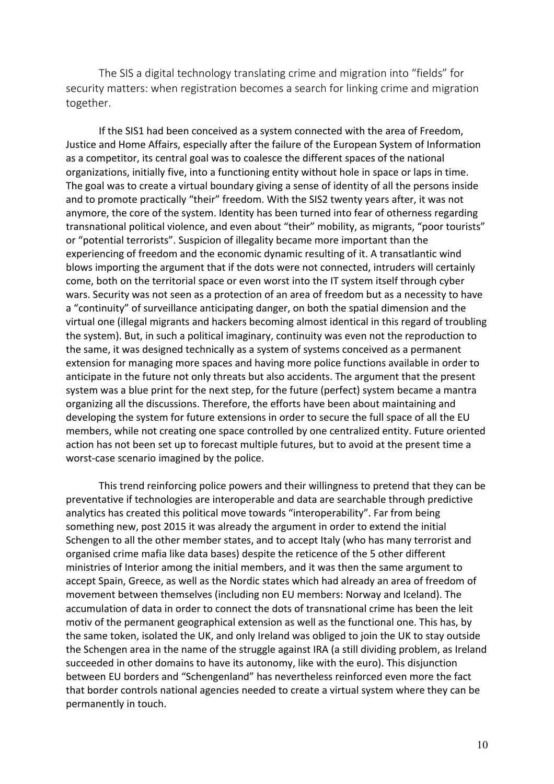The SIS a digital technology translating crime and migration into "fields" for security matters: when registration becomes a search for linking crime and migration together.

If the SIS1 had been conceived as a system connected with the area of Freedom, Justice and Home Affairs, especially after the failure of the European System of Information as a competitor, its central goal was to coalesce the different spaces of the national organizations, initially five, into a functioning entity without hole in space or laps in time. The goal was to create a virtual boundary giving a sense of identity of all the persons inside and to promote practically "their" freedom. With the SIS2 twenty years after, it was not anymore, the core of the system. Identity has been turned into fear of otherness regarding transnational political violence, and even about "their" mobility, as migrants, "poor tourists" or "potential terrorists". Suspicion of illegality became more important than the experiencing of freedom and the economic dynamic resulting of it. A transatlantic wind blows importing the argument that if the dots were not connected, intruders will certainly come, both on the territorial space or even worst into the IT system itself through cyber wars. Security was not seen as a protection of an area of freedom but as a necessity to have a "continuity" of surveillance anticipating danger, on both the spatial dimension and the virtual one (illegal migrants and hackers becoming almost identical in this regard of troubling the system). But, in such a political imaginary, continuity was even not the reproduction to the same, it was designed technically as a system of systems conceived as a permanent extension for managing more spaces and having more police functions available in order to anticipate in the future not only threats but also accidents. The argument that the present system was a blue print for the next step, for the future (perfect) system became a mantra organizing all the discussions. Therefore, the efforts have been about maintaining and developing the system for future extensions in order to secure the full space of all the EU members, while not creating one space controlled by one centralized entity. Future oriented action has not been set up to forecast multiple futures, but to avoid at the present time a worst-case scenario imagined by the police.

This trend reinforcing police powers and their willingness to pretend that they can be preventative if technologies are interoperable and data are searchable through predictive analytics has created this political move towards "interoperability". Far from being something new, post 2015 it was already the argument in order to extend the initial Schengen to all the other member states, and to accept Italy (who has many terrorist and organised crime mafia like data bases) despite the reticence of the 5 other different ministries of Interior among the initial members, and it was then the same argument to accept Spain, Greece, as well as the Nordic states which had already an area of freedom of movement between themselves (including non EU members: Norway and Iceland). The accumulation of data in order to connect the dots of transnational crime has been the leit motiv of the permanent geographical extension as well as the functional one. This has, by the same token, isolated the UK, and only Ireland was obliged to join the UK to stay outside the Schengen area in the name of the struggle against IRA (a still dividing problem, as Ireland succeeded in other domains to have its autonomy, like with the euro). This disjunction between EU borders and "Schengenland" has nevertheless reinforced even more the fact that border controls national agencies needed to create a virtual system where they can be permanently in touch.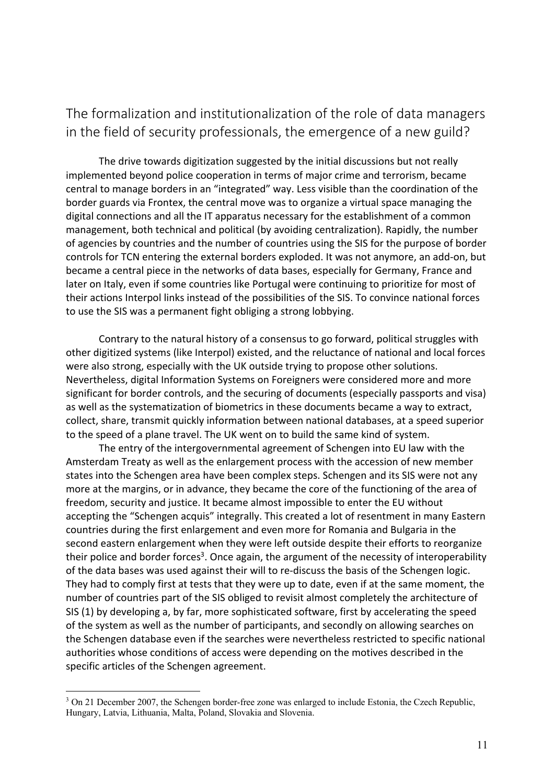## The formalization and institutionalization of the role of data managers in the field of security professionals, the emergence of a new guild?

The drive towards digitization suggested by the initial discussions but not really implemented beyond police cooperation in terms of major crime and terrorism, became central to manage borders in an "integrated" way. Less visible than the coordination of the border guards via Frontex, the central move was to organize a virtual space managing the digital connections and all the IT apparatus necessary for the establishment of a common management, both technical and political (by avoiding centralization). Rapidly, the number of agencies by countries and the number of countries using the SIS for the purpose of border controls for TCN entering the external borders exploded. It was not anymore, an add-on, but became a central piece in the networks of data bases, especially for Germany, France and later on Italy, even if some countries like Portugal were continuing to prioritize for most of their actions Interpol links instead of the possibilities of the SIS. To convince national forces to use the SIS was a permanent fight obliging a strong lobbying.

Contrary to the natural history of a consensus to go forward, political struggles with other digitized systems (like Interpol) existed, and the reluctance of national and local forces were also strong, especially with the UK outside trying to propose other solutions. Nevertheless, digital Information Systems on Foreigners were considered more and more significant for border controls, and the securing of documents (especially passports and visa) as well as the systematization of biometrics in these documents became a way to extract, collect, share, transmit quickly information between national databases, at a speed superior to the speed of a plane travel. The UK went on to build the same kind of system.

The entry of the intergovernmental agreement of Schengen into EU law with the Amsterdam Treaty as well as the enlargement process with the accession of new member states into the Schengen area have been complex steps. Schengen and its SIS were not any more at the margins, or in advance, they became the core of the functioning of the area of freedom, security and justice. It became almost impossible to enter the EU without accepting the "Schengen acquis" integrally. This created a lot of resentment in many Eastern countries during the first enlargement and even more for Romania and Bulgaria in the second eastern enlargement when they were left outside despite their efforts to reorganize their police and border forces<sup>3</sup>. Once again, the argument of the necessity of interoperability of the data bases was used against their will to re-discuss the basis of the Schengen logic. They had to comply first at tests that they were up to date, even if at the same moment, the number of countries part of the SIS obliged to revisit almost completely the architecture of SIS (1) by developing a, by far, more sophisticated software, first by accelerating the speed of the system as well as the number of participants, and secondly on allowing searches on the Schengen database even if the searches were nevertheless restricted to specific national authorities whose conditions of access were depending on the motives described in the specific articles of the Schengen agreement.

<sup>&</sup>lt;sup>3</sup> On 21 December 2007, the Schengen border-free zone was enlarged to include Estonia, the Czech Republic, Hungary, Latvia, Lithuania, Malta, Poland, Slovakia and Slovenia.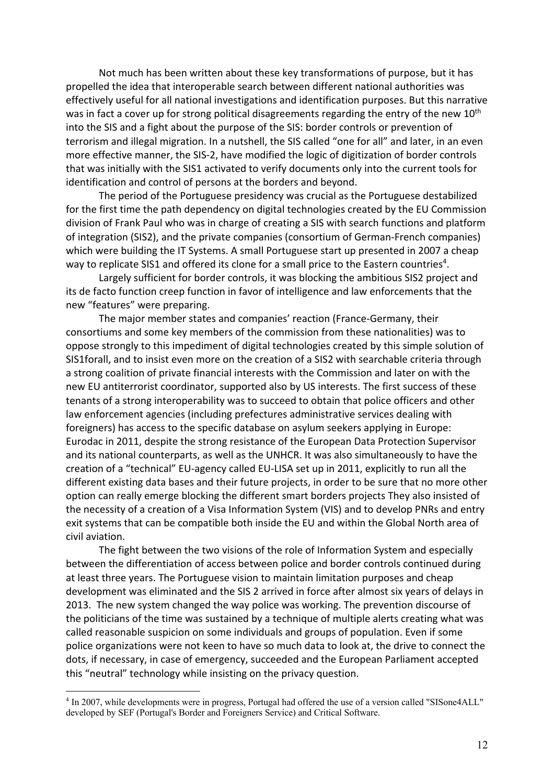Not much has been written about these key transformations of purpose, but it has propelled the idea that interoperable search between different national authorities was effectively useful for all national investigations and identification purposes. But this narrative was in fact a cover up for strong political disagreements regarding the entry of the new  $10^{th}$ into the SIS and a fight about the purpose of the SIS: border controls or prevention of terrorism and illegal migration. In a nutshell, the SIS called "one for all" and later, in an even more effective manner, the SIS-2, have modified the logic of digitization of border controls that was initially with the SIS1 activated to verify documents only into the current tools for identification and control of persons at the borders and beyond.

The period of the Portuguese presidency was crucial as the Portuguese destabilized for the first time the path dependency on digital technologies created by the EU Commission division of Frank Paul who was in charge of creating a SIS with search functions and platform of integration (SIS2), and the private companies (consortium of German-French companies) which were building the IT Systems. A small Portuguese start up presented in 2007 a cheap way to replicate SIS1 and offered its clone for a small price to the Eastern countries<sup>4</sup>.

Largely sufficient for border controls, it was blocking the ambitious SIS2 project and its de facto function creep function in favor of intelligence and law enforcements that the new "features" were preparing.

The major member states and companies' reaction (France-Germany, their consortiums and some key members of the commission from these nationalities) was to oppose strongly to this impediment of digital technologies created by this simple solution of SIS1forall, and to insist even more on the creation of a SIS2 with searchable criteria through a strong coalition of private financial interests with the Commission and later on with the new EU antiterrorist coordinator, supported also by US interests. The first success of these tenants of a strong interoperability was to succeed to obtain that police officers and other law enforcement agencies (including prefectures administrative services dealing with foreigners) has access to the specific database on asylum seekers applying in Europe: Eurodac in 2011, despite the strong resistance of the European Data Protection Supervisor and its national counterparts, as well as the UNHCR. It was also simultaneously to have the creation of a "technical" EU-agency called EU-LISA set up in 2011, explicitly to run all the different existing data bases and their future projects, in order to be sure that no more other option can really emerge blocking the different smart borders projects They also insisted of the necessity of a creation of a Visa Information System (VIS) and to develop PNRs and entry exit systems that can be compatible both inside the EU and within the Global North area of civil aviation.

The fight between the two visions of the role of Information System and especially between the differentiation of access between police and border controls continued during at least three years. The Portuguese vision to maintain limitation purposes and cheap development was eliminated and the SIS 2 arrived in force after almost six years of delays in 2013. The new system changed the way police was working. The prevention discourse of the politicians of the time was sustained by a technique of multiple alerts creating what was called reasonable suspicion on some individuals and groups of population. Even if some police organizations were not keen to have so much data to look at, the drive to connect the dots, if necessary, in case of emergency, succeeded and the European Parliament accepted this "neutral" technology while insisting on the privacy question.

<sup>4</sup> In 2007, while developments were in progress, Portugal had offered the use of a version called "SISone4ALL" developed by SEF (Portugal's Border and Foreigners Service) and Critical Software.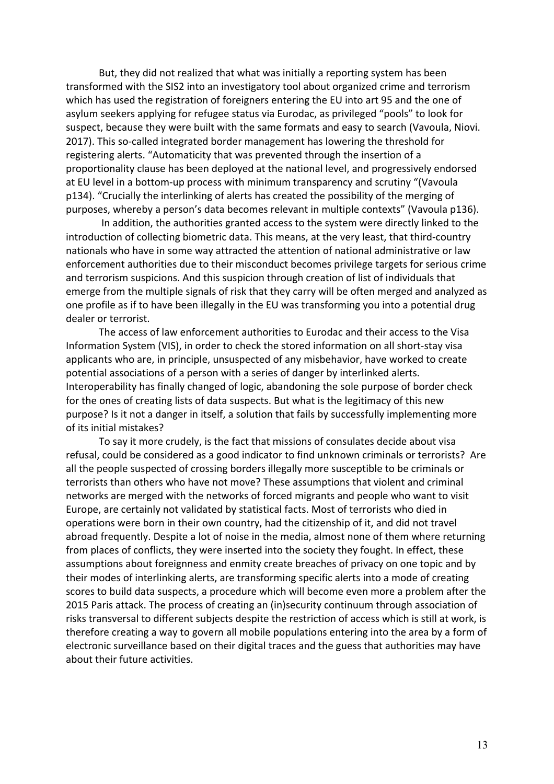But, they did not realized that what was initially a reporting system has been transformed with the SIS2 into an investigatory tool about organized crime and terrorism which has used the registration of foreigners entering the EU into art 95 and the one of asylum seekers applying for refugee status via Eurodac, as privileged "pools" to look for suspect, because they were built with the same formats and easy to search (Vavoula, Niovi. 2017). This so-called integrated border management has lowering the threshold for registering alerts. "Automaticity that was prevented through the insertion of a proportionality clause has been deployed at the national level, and progressively endorsed at EU level in a bottom-up process with minimum transparency and scrutiny "(Vavoula p134). "Crucially the interlinking of alerts has created the possibility of the merging of purposes, whereby a person's data becomes relevant in multiple contexts" (Vavoula p136).

In addition, the authorities granted access to the system were directly linked to the introduction of collecting biometric data. This means, at the very least, that third-country nationals who have in some way attracted the attention of national administrative or law enforcement authorities due to their misconduct becomes privilege targets for serious crime and terrorism suspicions. And this suspicion through creation of list of individuals that emerge from the multiple signals of risk that they carry will be often merged and analyzed as one profile as if to have been illegally in the EU was transforming you into a potential drug dealer or terrorist.

The access of law enforcement authorities to Eurodac and their access to the Visa Information System (VIS), in order to check the stored information on all short-stay visa applicants who are, in principle, unsuspected of any misbehavior, have worked to create potential associations of a person with a series of danger by interlinked alerts. Interoperability has finally changed of logic, abandoning the sole purpose of border check for the ones of creating lists of data suspects. But what is the legitimacy of this new purpose? Is it not a danger in itself, a solution that fails by successfully implementing more of its initial mistakes?

To say it more crudely, is the fact that missions of consulates decide about visa refusal, could be considered as a good indicator to find unknown criminals or terrorists? Are all the people suspected of crossing borders illegally more susceptible to be criminals or terrorists than others who have not move? These assumptions that violent and criminal networks are merged with the networks of forced migrants and people who want to visit Europe, are certainly not validated by statistical facts. Most of terrorists who died in operations were born in their own country, had the citizenship of it, and did not travel abroad frequently. Despite a lot of noise in the media, almost none of them where returning from places of conflicts, they were inserted into the society they fought. In effect, these assumptions about foreignness and enmity create breaches of privacy on one topic and by their modes of interlinking alerts, are transforming specific alerts into a mode of creating scores to build data suspects, a procedure which will become even more a problem after the 2015 Paris attack. The process of creating an (in)security continuum through association of risks transversal to different subjects despite the restriction of access which is still at work, is therefore creating a way to govern all mobile populations entering into the area by a form of electronic surveillance based on their digital traces and the guess that authorities may have about their future activities.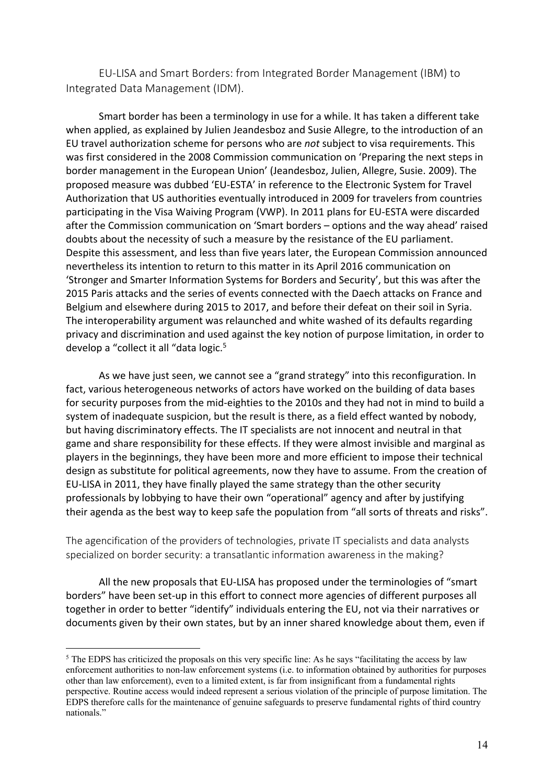EU-LISA and Smart Borders: from Integrated Border Management (IBM) to Integrated Data Management (IDM).

Smart border has been a terminology in use for a while. It has taken a different take when applied, as explained by Julien Jeandesboz and Susie Allegre, to the introduction of an EU travel authorization scheme for persons who are *not* subject to visa requirements. This was first considered in the 2008 Commission communication on 'Preparing the next steps in border management in the European Union' (Jeandesboz, Julien, Allegre, Susie. 2009). The proposed measure was dubbed 'EU-ESTA' in reference to the Electronic System for Travel Authorization that US authorities eventually introduced in 2009 for travelers from countries participating in the Visa Waiving Program (VWP). In 2011 plans for EU-ESTA were discarded after the Commission communication on 'Smart borders – options and the way ahead' raised doubts about the necessity of such a measure by the resistance of the EU parliament. Despite this assessment, and less than five years later, the European Commission announced nevertheless its intention to return to this matter in its April 2016 communication on 'Stronger and Smarter Information Systems for Borders and Security', but this was after the 2015 Paris attacks and the series of events connected with the Daech attacks on France and Belgium and elsewhere during 2015 to 2017, and before their defeat on their soil in Syria. The interoperability argument was relaunched and white washed of its defaults regarding privacy and discrimination and used against the key notion of purpose limitation, in order to develop a "collect it all "data logic.<sup>5</sup>

As we have just seen, we cannot see a "grand strategy" into this reconfiguration. In fact, various heterogeneous networks of actors have worked on the building of data bases for security purposes from the mid-eighties to the 2010s and they had not in mind to build a system of inadequate suspicion, but the result is there, as a field effect wanted by nobody, but having discriminatory effects. The IT specialists are not innocent and neutral in that game and share responsibility for these effects. If they were almost invisible and marginal as players in the beginnings, they have been more and more efficient to impose their technical design as substitute for political agreements, now they have to assume. From the creation of EU-LISA in 2011, they have finally played the same strategy than the other security professionals by lobbying to have their own "operational" agency and after by justifying their agenda as the best way to keep safe the population from "all sorts of threats and risks".

The agencification of the providers of technologies, private IT specialists and data analysts specialized on border security: a transatlantic information awareness in the making?

All the new proposals that EU-LISA has proposed under the terminologies of "smart borders" have been set-up in this effort to connect more agencies of different purposes all together in order to better "identify" individuals entering the EU, not via their narratives or documents given by their own states, but by an inner shared knowledge about them, even if

<sup>&</sup>lt;sup>5</sup> The EDPS has criticized the proposals on this very specific line: As he says "facilitating the access by law enforcement authorities to non-law enforcement systems (i.e. to information obtained by authorities for purposes other than law enforcement), even to a limited extent, is far from insignificant from a fundamental rights perspective. Routine access would indeed represent a serious violation of the principle of purpose limitation. The EDPS therefore calls for the maintenance of genuine safeguards to preserve fundamental rights of third country nationals."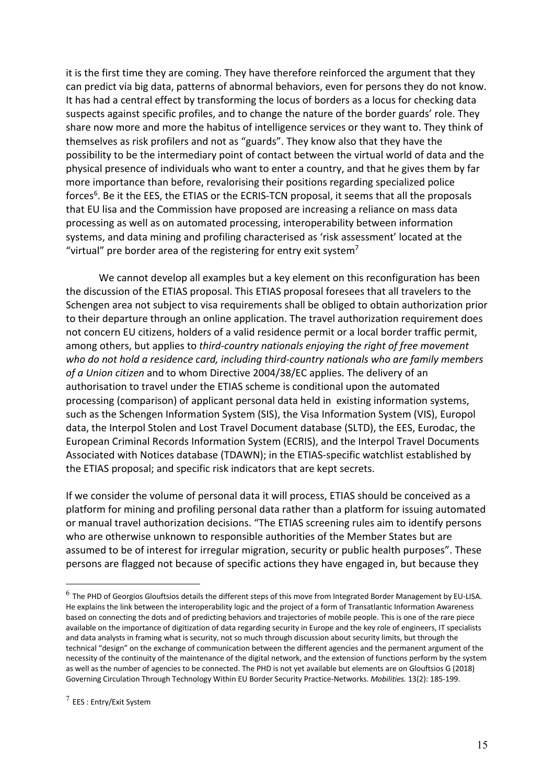it is the first time they are coming. They have therefore reinforced the argument that they can predict via big data, patterns of abnormal behaviors, even for persons they do not know. It has had a central effect by transforming the locus of borders as a locus for checking data suspects against specific profiles, and to change the nature of the border guards' role. They share now more and more the habitus of intelligence services or they want to. They think of themselves as risk profilers and not as "guards". They know also that they have the possibility to be the intermediary point of contact between the virtual world of data and the physical presence of individuals who want to enter a country, and that he gives them by far more importance than before, revalorising their positions regarding specialized police forces<sup>6</sup>. Be it the EES, the ETIAS or the ECRIS-TCN proposal, it seems that all the proposals that EU lisa and the Commission have proposed are increasing a reliance on mass data processing as well as on automated processing, interoperability between information systems, and data mining and profiling characterised as 'risk assessment' located at the "virtual" pre border area of the registering for entry exit system $<sup>7</sup>$ </sup>

We cannot develop all examples but a key element on this reconfiguration has been the discussion of the ETIAS proposal. This ETIAS proposal foresees that all travelers to the Schengen area not subject to visa requirements shall be obliged to obtain authorization prior to their departure through an online application. The travel authorization requirement does not concern EU citizens, holders of a valid residence permit or a local border traffic permit, among others, but applies to *third-country nationals enjoying the right of free movement who do not hold a residence card, including third-country nationals who are family members of a Union citizen* and to whom Directive 2004/38/EC applies. The delivery of an authorisation to travel under the ETIAS scheme is conditional upon the automated processing (comparison) of applicant personal data held in existing information systems, such as the Schengen Information System (SIS), the Visa Information System (VIS), Europol data, the Interpol Stolen and Lost Travel Document database (SLTD), the EES, Eurodac, the European Criminal Records Information System (ECRIS), and the Interpol Travel Documents Associated with Notices database (TDAWN); in the ETIAS-specific watchlist established by the ETIAS proposal; and specific risk indicators that are kept secrets.

If we consider the volume of personal data it will process, ETIAS should be conceived as a platform for mining and profiling personal data rather than a platform for issuing automated or manual travel authorization decisions. "The ETIAS screening rules aim to identify persons who are otherwise unknown to responsible authorities of the Member States but are assumed to be of interest for irregular migration, security or public health purposes". These persons are flagged not because of specific actions they have engaged in, but because they

 $^6$  The PHD of Georgios Glouftsios details the different steps of this move from Integrated Border Management by EU-LISA. He explains the link between the interoperability logic and the project of a form of Transatlantic Information Awareness based on connecting the dots and of predicting behaviors and trajectories of mobile people. This is one of the rare piece available on the importance of digitization of data regarding security in Europe and the key role of engineers, IT specialists and data analysts in framing what is security, not so much through discussion about security limits, but through the technical "design" on the exchange of communication between the different agencies and the permanent argument of the necessity of the continuity of the maintenance of the digital network, and the extension of functions perform by the system as well as the number of agencies to be connected. The PHD is not yet available but elements are on Glouftsios G (2018) Governing Circulation Through Technology Within EU Border Security Practice-Networks. *Mobilities.* 13(2): 185-199.

 $<sup>7</sup>$  EES : Entry/Exit System</sup>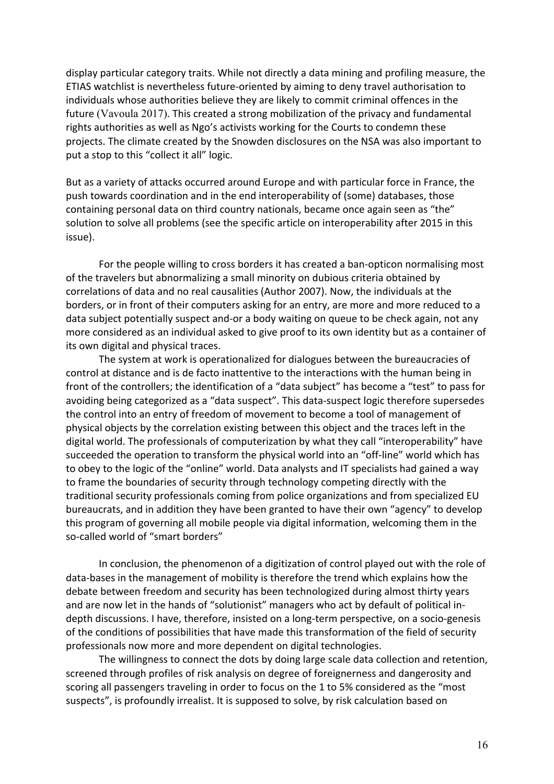display particular category traits. While not directly a data mining and profiling measure, the ETIAS watchlist is nevertheless future-oriented by aiming to deny travel authorisation to individuals whose authorities believe they are likely to commit criminal offences in the future (Vavoula 2017). This created a strong mobilization of the privacy and fundamental rights authorities as well as Ngo's activists working for the Courts to condemn these projects. The climate created by the Snowden disclosures on the NSA was also important to put a stop to this "collect it all" logic.

But as a variety of attacks occurred around Europe and with particular force in France, the push towards coordination and in the end interoperability of (some) databases, those containing personal data on third country nationals, became once again seen as "the" solution to solve all problems (see the specific article on interoperability after 2015 in this issue).

For the people willing to cross borders it has created a ban-opticon normalising most of the travelers but abnormalizing a small minority on dubious criteria obtained by correlations of data and no real causalities (Author 2007). Now, the individuals at the borders, or in front of their computers asking for an entry, are more and more reduced to a data subject potentially suspect and-or a body waiting on queue to be check again, not any more considered as an individual asked to give proof to its own identity but as a container of its own digital and physical traces.

The system at work is operationalized for dialogues between the bureaucracies of control at distance and is de facto inattentive to the interactions with the human being in front of the controllers; the identification of a "data subject" has become a "test" to pass for avoiding being categorized as a "data suspect". This data-suspect logic therefore supersedes the control into an entry of freedom of movement to become a tool of management of physical objects by the correlation existing between this object and the traces left in the digital world. The professionals of computerization by what they call "interoperability" have succeeded the operation to transform the physical world into an "off-line" world which has to obey to the logic of the "online" world. Data analysts and IT specialists had gained a way to frame the boundaries of security through technology competing directly with the traditional security professionals coming from police organizations and from specialized EU bureaucrats, and in addition they have been granted to have their own "agency" to develop this program of governing all mobile people via digital information, welcoming them in the so-called world of "smart borders"

In conclusion, the phenomenon of a digitization of control played out with the role of data-bases in the management of mobility is therefore the trend which explains how the debate between freedom and security has been technologized during almost thirty years and are now let in the hands of "solutionist" managers who act by default of political indepth discussions. I have, therefore, insisted on a long-term perspective, on a socio-genesis of the conditions of possibilities that have made this transformation of the field of security professionals now more and more dependent on digital technologies.

The willingness to connect the dots by doing large scale data collection and retention, screened through profiles of risk analysis on degree of foreignerness and dangerosity and scoring all passengers traveling in order to focus on the 1 to 5% considered as the "most suspects", is profoundly irrealist. It is supposed to solve, by risk calculation based on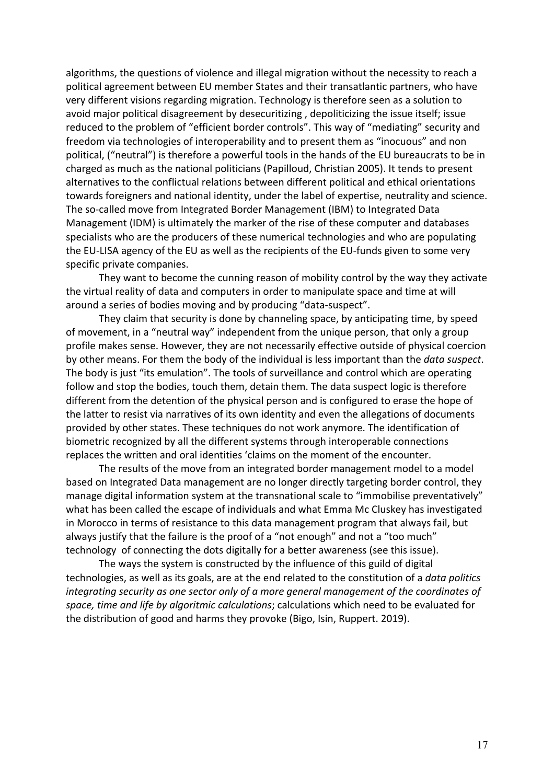algorithms, the questions of violence and illegal migration without the necessity to reach a political agreement between EU member States and their transatlantic partners, who have very different visions regarding migration. Technology is therefore seen as a solution to avoid major political disagreement by desecuritizing , depoliticizing the issue itself; issue reduced to the problem of "efficient border controls". This way of "mediating" security and freedom via technologies of interoperability and to present them as "inocuous" and non political, ("neutral") is therefore a powerful tools in the hands of the EU bureaucrats to be in charged as much as the national politicians (Papilloud, Christian 2005). It tends to present alternatives to the conflictual relations between different political and ethical orientations towards foreigners and national identity, under the label of expertise, neutrality and science. The so-called move from Integrated Border Management (IBM) to Integrated Data Management (IDM) is ultimately the marker of the rise of these computer and databases specialists who are the producers of these numerical technologies and who are populating the EU-LISA agency of the EU as well as the recipients of the EU-funds given to some very specific private companies.

They want to become the cunning reason of mobility control by the way they activate the virtual reality of data and computers in order to manipulate space and time at will around a series of bodies moving and by producing "data-suspect".

They claim that security is done by channeling space, by anticipating time, by speed of movement, in a "neutral way" independent from the unique person, that only a group profile makes sense. However, they are not necessarily effective outside of physical coercion by other means. For them the body of the individual is less important than the *data suspect*. The body is just "its emulation". The tools of surveillance and control which are operating follow and stop the bodies, touch them, detain them. The data suspect logic is therefore different from the detention of the physical person and is configured to erase the hope of the latter to resist via narratives of its own identity and even the allegations of documents provided by other states. These techniques do not work anymore. The identification of biometric recognized by all the different systems through interoperable connections replaces the written and oral identities 'claims on the moment of the encounter.

The results of the move from an integrated border management model to a model based on Integrated Data management are no longer directly targeting border control, they manage digital information system at the transnational scale to "immobilise preventatively" what has been called the escape of individuals and what Emma Mc Cluskey has investigated in Morocco in terms of resistance to this data management program that always fail, but always justify that the failure is the proof of a "not enough" and not a "too much" technology of connecting the dots digitally for a better awareness (see this issue).

The ways the system is constructed by the influence of this guild of digital technologies, as well as its goals, are at the end related to the constitution of a *data politics integrating security as one sector only of a more general management of the coordinates of space, time and life by algoritmic calculations*; calculations which need to be evaluated for the distribution of good and harms they provoke (Bigo, Isin, Ruppert. 2019).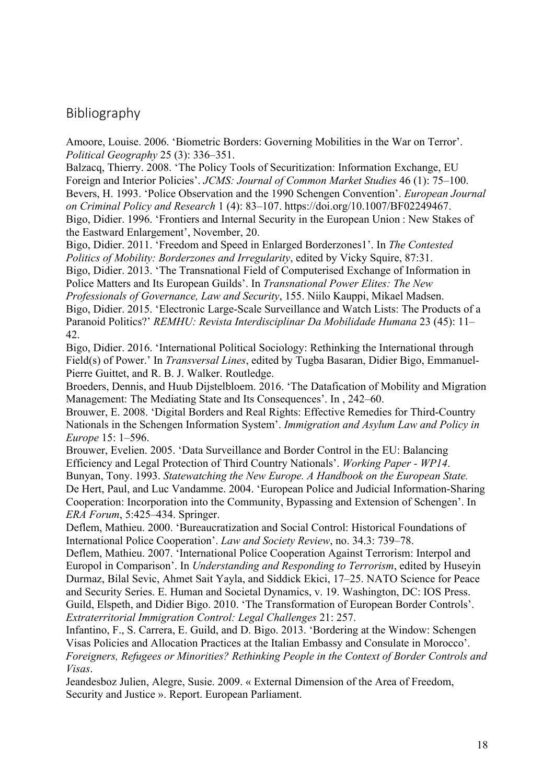### Bibliography

Amoore, Louise. 2006. 'Biometric Borders: Governing Mobilities in the War on Terror'. *Political Geography* 25 (3): 336–351.

Balzacq, Thierry. 2008. 'The Policy Tools of Securitization: Information Exchange, EU Foreign and Interior Policies'. *JCMS: Journal of Common Market Studies* 46 (1): 75–100. Bevers, H. 1993. 'Police Observation and the 1990 Schengen Convention'. *European Journal on Criminal Policy and Research* 1 (4): 83–107. https://doi.org/10.1007/BF02249467. Bigo, Didier. 1996. 'Frontiers and Internal Security in the European Union : New Stakes of the Eastward Enlargement', November, 20.

Bigo, Didier. 2011. 'Freedom and Speed in Enlarged Borderzones1'. In *The Contested Politics of Mobility: Borderzones and Irregularity*, edited by Vicky Squire, 87:31.

Bigo, Didier. 2013. 'The Transnational Field of Computerised Exchange of Information in Police Matters and Its European Guilds'. In *Transnational Power Elites: The New* 

*Professionals of Governance, Law and Security*, 155. Niilo Kauppi, Mikael Madsen. Bigo, Didier. 2015. 'Electronic Large-Scale Surveillance and Watch Lists: The Products of a Paranoid Politics?' *REMHU: Revista Interdisciplinar Da Mobilidade Humana* 23 (45): 11– 42.

Bigo, Didier. 2016. 'International Political Sociology: Rethinking the International through Field(s) of Power.' In *Transversal Lines*, edited by Tugba Basaran, Didier Bigo, Emmanuel-Pierre Guittet, and R. B. J. Walker. Routledge.

Broeders, Dennis, and Huub Dijstelbloem. 2016. 'The Datafication of Mobility and Migration Management: The Mediating State and Its Consequences'. In , 242–60.

Brouwer, E. 2008. 'Digital Borders and Real Rights: Effective Remedies for Third-Country Nationals in the Schengen Information System'. *Immigration and Asylum Law and Policy in Europe* 15: 1–596.

Brouwer, Evelien. 2005. 'Data Surveillance and Border Control in the EU: Balancing Efficiency and Legal Protection of Third Country Nationals'. *Working Paper - WP14*.

Bunyan, Tony. 1993. *Statewatching the New Europe. A Handbook on the European State.* De Hert, Paul, and Luc Vandamme. 2004. 'European Police and Judicial Information-Sharing Cooperation: Incorporation into the Community, Bypassing and Extension of Schengen'. In *ERA Forum*, 5:425–434. Springer.

Deflem, Mathieu. 2000. 'Bureaucratization and Social Control: Historical Foundations of International Police Cooperation'. *Law and Society Review*, no. 34.3: 739–78.

Deflem, Mathieu. 2007. 'International Police Cooperation Against Terrorism: Interpol and Europol in Comparison'. In *Understanding and Responding to Terrorism*, edited by Huseyin Durmaz, Bilal Sevic, Ahmet Sait Yayla, and Siddick Ekici, 17–25. NATO Science for Peace and Security Series. E. Human and Societal Dynamics, v. 19. Washington, DC: IOS Press. Guild, Elspeth, and Didier Bigo. 2010. 'The Transformation of European Border Controls'. *Extraterritorial Immigration Control: Legal Challenges* 21: 257.

Infantino, F., S. Carrera, E. Guild, and D. Bigo. 2013. 'Bordering at the Window: Schengen Visas Policies and Allocation Practices at the Italian Embassy and Consulate in Morocco'. *Foreigners, Refugees or Minorities? Rethinking People in the Context of Border Controls and Visas*.

Jeandesboz Julien, Alegre, Susie. 2009. « External Dimension of the Area of Freedom, Security and Justice ». Report. European Parliament.